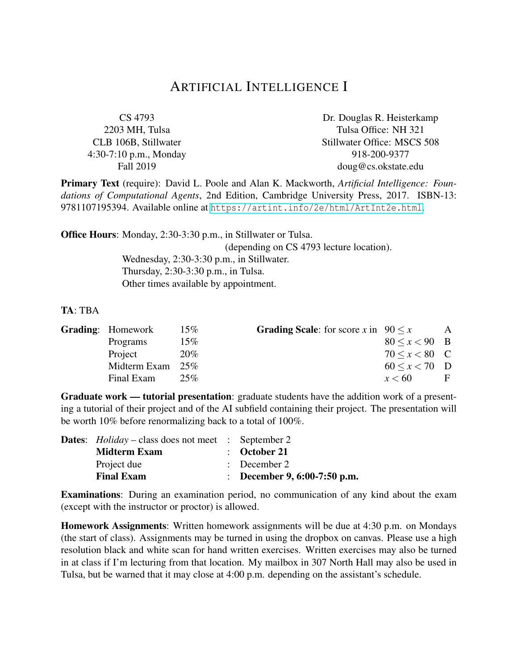## ARTIFICIAL INTELLIGENCE I

| CS 4793                | Dr. Douglas R. Heisterkamp  |
|------------------------|-----------------------------|
| 2203 MH, Tulsa         | Tulsa Office: NH 321        |
| CLB 106B, Stillwater   | Stillwater Office: MSCS 508 |
| 4:30-7:10 p.m., Monday | 918-200-9377                |
| Fall 2019              | doug@cs.okstate.edu         |

Primary Text (require): David L. Poole and Alan K. Mackworth, *Artificial Intelligence: Foundations of Computational Agents*, 2nd Edition, Cambridge University Press, 2017. ISBN-13: 9781107195394. Available online at <https://artint.info/2e/html/ArtInt2e.html>.

Office Hours: Monday, 2:30-3:30 p.m., in Stillwater or Tulsa.

(depending on CS 4793 lecture location).

Wednesday, 2:30-3:30 p.m., in Stillwater. Thursday, 2:30-3:30 p.m., in Tulsa. Other times available by appointment.

## TA: TBA

| <b>Grading:</b> Homework | $15\%$ | <b>Grading Scale:</b> for score x in $90 \le x$ |                     | A |
|--------------------------|--------|-------------------------------------------------|---------------------|---|
| Programs                 | $15\%$ |                                                 | $80 \le x < 90$ B   |   |
| Project                  | 20%    |                                                 | $70 \le x \le 80$ C |   |
| Midterm Exam             | 25%    |                                                 | $60 \le x \le 70$ D |   |
| Final Exam               | 25%    |                                                 | x < 60              | F |

Graduate work — tutorial presentation: graduate students have the addition work of a presenting a tutorial of their project and of the AI subfield containing their project. The presentation will be worth 10% before renormalizing back to a total of 100%.

| <b>Dates:</b> $Holiday - class does not meet : September 2$ |                              |
|-------------------------------------------------------------|------------------------------|
| <b>Midterm Exam</b>                                         | $\therefore$ October 21      |
| Project due                                                 | $\therefore$ December 2      |
| <b>Final Exam</b>                                           | : December 9, 6:00-7:50 p.m. |

Examinations: During an examination period, no communication of any kind about the exam (except with the instructor or proctor) is allowed.

Homework Assignments: Written homework assignments will be due at 4:30 p.m. on Mondays (the start of class). Assignments may be turned in using the dropbox on canvas. Please use a high resolution black and white scan for hand written exercises. Written exercises may also be turned in at class if I'm lecturing from that location. My mailbox in 307 North Hall may also be used in Tulsa, but be warned that it may close at 4:00 p.m. depending on the assistant's schedule.